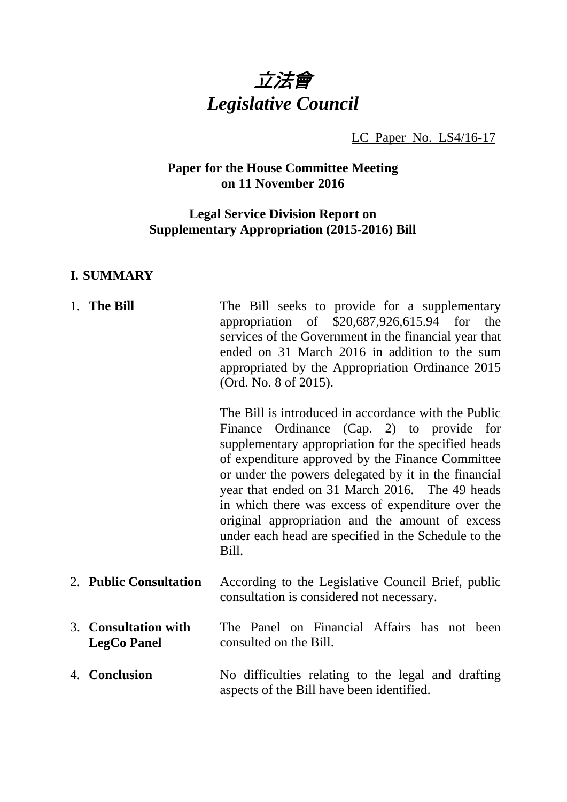

LC Paper No. LS4/16-17

# **Paper for the House Committee Meeting on 11 November 2016**

# **Legal Service Division Report on Supplementary Appropriation (2015-2016) Bill**

### **I. SUMMARY**

| 1. The Bill                                | The Bill seeks to provide for a supplementary<br>appropriation of $$20,687,926,615.94$ for the<br>services of the Government in the financial year that<br>ended on 31 March 2016 in addition to the sum<br>appropriated by the Appropriation Ordinance 2015<br>(Ord. No. 8 of 2015).                                                                                                                                                                                                              |
|--------------------------------------------|----------------------------------------------------------------------------------------------------------------------------------------------------------------------------------------------------------------------------------------------------------------------------------------------------------------------------------------------------------------------------------------------------------------------------------------------------------------------------------------------------|
|                                            | The Bill is introduced in accordance with the Public<br>Ordinance (Cap. 2) to provide for<br>Finance<br>supplementary appropriation for the specified heads<br>of expenditure approved by the Finance Committee<br>or under the powers delegated by it in the financial<br>year that ended on 31 March 2016. The 49 heads<br>in which there was excess of expenditure over the<br>original appropriation and the amount of excess<br>under each head are specified in the Schedule to the<br>Bill. |
| 2. Public Consultation                     | According to the Legislative Council Brief, public<br>consultation is considered not necessary.                                                                                                                                                                                                                                                                                                                                                                                                    |
| 3. Consultation with<br><b>LegCo Panel</b> | The Panel on Financial Affairs has not been<br>consulted on the Bill.                                                                                                                                                                                                                                                                                                                                                                                                                              |
| 4. Conclusion                              | No difficulties relating to the legal and drafting<br>aspects of the Bill have been identified.                                                                                                                                                                                                                                                                                                                                                                                                    |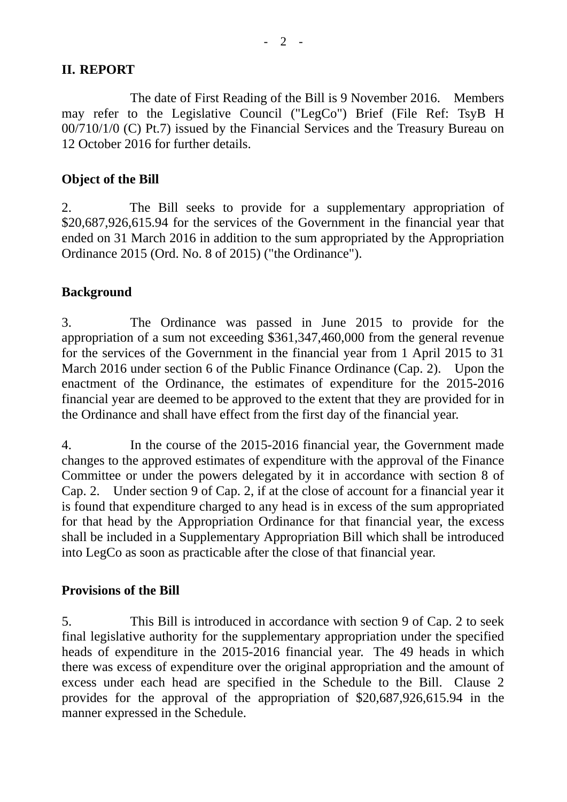## **II. REPORT**

 The date of First Reading of the Bill is 9 November 2016. Members may refer to the Legislative Council ("LegCo") Brief (File Ref: TsyB H 00/710/1/0 (C) Pt.7) issued by the Financial Services and the Treasury Bureau on 12 October 2016 for further details.

# **Object of the Bill**

2. The Bill seeks to provide for a supplementary appropriation of \$20,687,926,615.94 for the services of the Government in the financial year that ended on 31 March 2016 in addition to the sum appropriated by the Appropriation Ordinance 2015 (Ord. No. 8 of 2015) ("the Ordinance").

## **Background**

3. The Ordinance was passed in June 2015 to provide for the appropriation of a sum not exceeding \$361,347,460,000 from the general revenue for the services of the Government in the financial year from 1 April 2015 to 31 March 2016 under section 6 of the Public Finance Ordinance (Cap. 2). Upon the enactment of the Ordinance, the estimates of expenditure for the 2015-2016 financial year are deemed to be approved to the extent that they are provided for in the Ordinance and shall have effect from the first day of the financial year.

4. In the course of the 2015-2016 financial year, the Government made changes to the approved estimates of expenditure with the approval of the Finance Committee or under the powers delegated by it in accordance with section 8 of Cap. 2. Under section 9 of Cap. 2, if at the close of account for a financial year it is found that expenditure charged to any head is in excess of the sum appropriated for that head by the Appropriation Ordinance for that financial year, the excess shall be included in a Supplementary Appropriation Bill which shall be introduced into LegCo as soon as practicable after the close of that financial year.

### **Provisions of the Bill**

5. This Bill is introduced in accordance with section 9 of Cap. 2 to seek final legislative authority for the supplementary appropriation under the specified heads of expenditure in the 2015-2016 financial year. The 49 heads in which there was excess of expenditure over the original appropriation and the amount of excess under each head are specified in the Schedule to the Bill. Clause 2 provides for the approval of the appropriation of \$20,687,926,615.94 in the manner expressed in the Schedule.